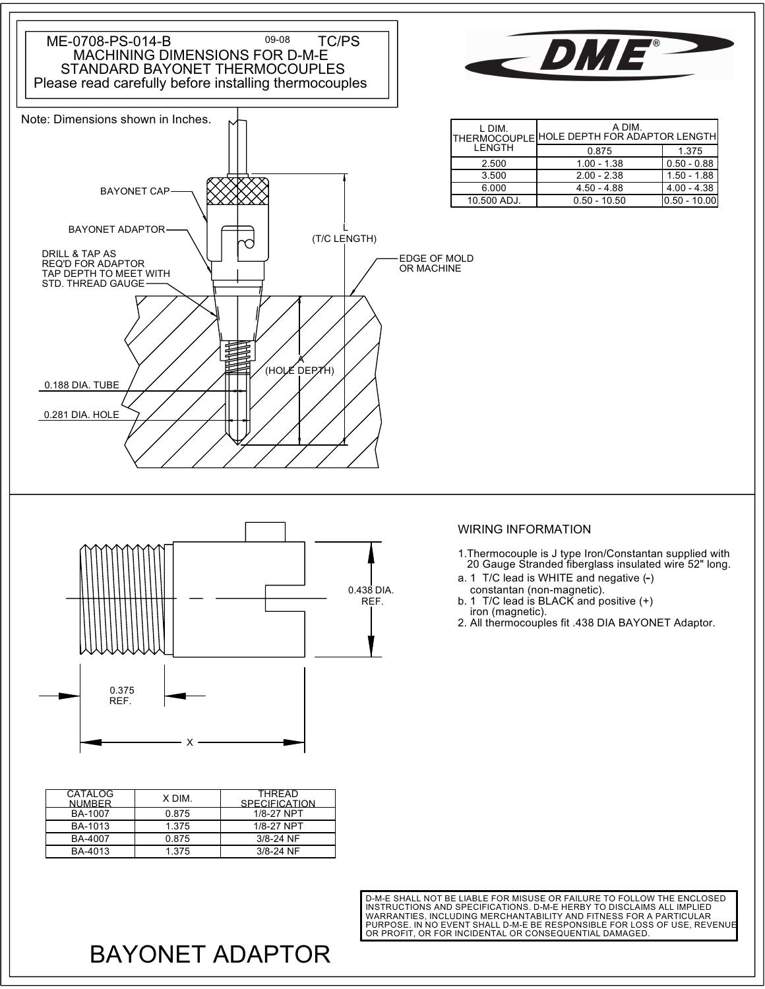



| L DIM.      | A DIM.<br> THERMOCOUPLE HOLE DEPTH FOR ADAPTOR LENGTH |                |
|-------------|-------------------------------------------------------|----------------|
| LENGTH      | 0.875                                                 | 1.375          |
| 2.500       | $1.00 - 1.38$                                         | $0.50 - 0.88$  |
| 3.500       | $2.00 - 2.38$                                         | $1.50 - 1.88$  |
| 6.000       | $4.50 - 4.88$                                         | $4.00 - 4.38$  |
| 10.500 ADJ. | $0.50 - 10.50$                                        | 10.50 - 10.001 |

EDGE OF MOLD OR MACHINE

0.438 DIA. REF.

## WIRING INFORMATION

- 1.Thermocouple is J type Iron/Constantan supplied with 20 Gauge Stranded fiberglass insulated wire 52" long.
- constantan (non-magnetic). a. 1 T/C lead is WHITE and negative (-)
- iron (magnetic). b. 1 T/C lead is BLACK and positive (+)
- 2. All thermocouples fit .438 DIA BAYONET Adaptor.

| CATALOG<br><b>NUMBER</b> | X DIM. | THRFAD<br><b>SPECIFICATION</b> |
|--------------------------|--------|--------------------------------|
| BA-1007                  | 0.875  | 1/8-27 NPT                     |
| BA-1013                  | 1.375  | 1/8-27 NPT                     |
| BA-4007                  | 0.875  | 3/8-24 NF                      |
| BA-4013                  | 1.375  | $3/8 - 24$ NF                  |
|                          |        |                                |

X

REF. 0.375

WARRANTIES, INCLUDING MERCHANTABILITY AND FITNESS FOR A PARTICULAR<br>PURPOSE. IN NO EVENT SHALL D-M-E BE RESPONSIBLE FOR LOSS OF USE, REVENUE D-M-E SHALL NOT BE LIABLE FOR MISUSE OR FAILURE TO FOLLOW THE ENCLOSED INSTRUCTIONS AND SPECIFICATIONS. D-M-E HERBY TO DISCLAIMS ALL IMPLIED OR PROFIT, OR FOR INCIDENTAL OR CONSEQUENTIAL DAMAGED.

## BAYONET ADAPTOR